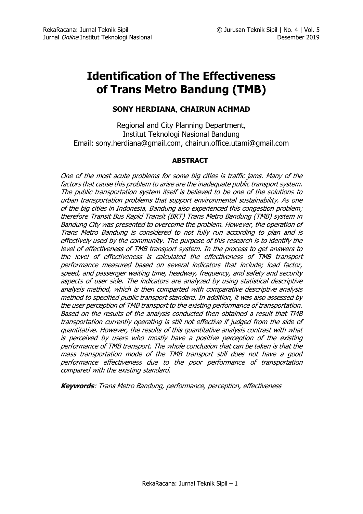# **Identification of The Effectiveness of Trans Metro Bandung (TMB)**

# **SONY HERDIANA**, **CHAIRUN ACHMAD**

Regional and City Planning Department, Institut Teknologi Nasional Bandung Email: [sony.herdiana@gmail.com,](mailto:sony.herdiana@gmail.com) chairun.office.utami@gmail.com

## **ABSTRACT**

One of the most acute problems for some big cities is traffic jams. Many of the factors that cause this problem to arise are the inadequate public transport system. The public transportation system itself is believed to be one of the solutions to urban transportation problems that support environmental sustainability. As one of the big cities in Indonesia, Bandung also experienced this congestion problem; therefore Transit Bus Rapid Transit (BRT) Trans Metro Bandung (TMB) system in Bandung City was presented to overcome the problem. However, the operation of Trans Metro Bandung is considered to not fully run according to plan and is effectively used by the community. The purpose of this research is to identify the level of effectiveness of TMB transport system. In the process to get answers to the level of effectiveness is calculated the effectiveness of TMB transport performance measured based on several indicators that include; load factor, speed, and passenger waiting time, headway, frequency, and safety and security aspects of user side. The indicators are analyzed by using statistical descriptive analysis method, which is then comparted with comparative descriptive analysis method to specified public transport standard. In addition, it was also assessed by the user perception of TMB transport to the existing performance of transportation. Based on the results of the analysis conducted then obtained a result that TMB transportation currently operating is still not effective if judged from the side of quantitative. However, the results of this quantitative analysis contrast with what is perceived by users who mostly have a positive perception of the existing performance of TMB transport. The whole conclusion that can be taken is that the mass transportation mode of the TMB transport still does not have a good performance effectiveness due to the poor performance of transportation compared with the existing standard.

**Keywords**: Trans Metro Bandung, performance, perception, effectiveness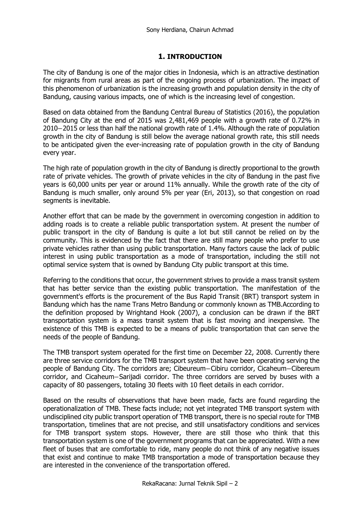## **1. INTRODUCTION**

The city of Bandung is one of the major cities in Indonesia, which is an attractive destination for migrants from rural areas as part of the ongoing process of urbanization. The impact of this phenomenon of urbanization is the increasing growth and population density in the city of Bandung, causing various impacts, one of which is the increasing level of congestion.

Based on data obtained from the Bandung Central Bureau of Statistics (2016), the population of Bandung City at the end of 2015 was 2,481,469 people with a growth rate of 0.72% in 2010−2015 or less than half the national growth rate of 1.4%. Although the rate of population growth in the city of Bandung is still below the average national growth rate, this still needs to be anticipated given the ever-increasing rate of population growth in the city of Bandung every year.

The high rate of population growth in the city of Bandung is directly proportional to the growth rate of private vehicles. The growth of private vehicles in the city of Bandung in the past five years is 60,000 units per year or around 11% annually. While the growth rate of the city of Bandung is much smaller, only around 5% per year (Eri, 2013), so that congestion on road segments is inevitable.

Another effort that can be made by the government in overcoming congestion in addition to adding roads is to create a reliable public transportation system. At present the number of public transport in the city of Bandung is quite a lot but still cannot be relied on by the community. This is evidenced by the fact that there are still many people who prefer to use private vehicles rather than using public transportation. Many factors cause the lack of public interest in using public transportation as a mode of transportation, including the still not optimal service system that is owned by Bandung City public transport at this time.

Referring to the conditions that occur, the government strives to provide a mass transit system that has better service than the existing public transportation. The manifestation of the government's efforts is the procurement of the Bus Rapid Transit (BRT) transport system in Bandung which has the name Trans Metro Bandung or commonly known as TMB.According to the definition proposed by Wrightand Hook (2007), a conclusion can be drawn if the BRT transportation system is a mass transit system that is fast moving and inexpensive. The existence of this TMB is expected to be a means of public transportation that can serve the needs of the people of Bandung.

The TMB transport system operated for the first time on December 22, 2008. Currently there are three service corridors for the TMB transport system that have been operating serving the people of Bandung City. The corridors are; Cibeureum−Cibiru corridor, Cicaheum−Cibereum corridor, and Cicaheum−Sarijadi corridor. The three corridors are served by buses with a capacity of 80 passengers, totaling 30 fleets with 10 fleet details in each corridor.

Based on the results of observations that have been made, facts are found regarding the operationalization of TMB. These facts include; not yet integrated TMB transport system with undisciplined city public transport operation of TMB transport, there is no special route for TMB transportation, timelines that are not precise, and still unsatisfactory conditions and services for TMB transport system stops. However, there are still those who think that this transportation system is one of the government programs that can be appreciated. With a new fleet of buses that are comfortable to ride, many people do not think of any negative issues that exist and continue to make TMB transportation a mode of transportation because they are interested in the convenience of the transportation offered.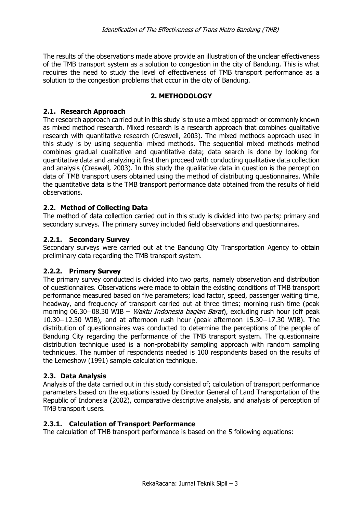The results of the observations made above provide an illustration of the unclear effectiveness of the TMB transport system as a solution to congestion in the city of Bandung. This is what requires the need to study the level of effectiveness of TMB transport performance as a solution to the congestion problems that occur in the city of Bandung.

## **2. METHODOLOGY**

#### **2.1. Research Approach**

The research approach carried out in this study is to use a mixed approach or commonly known as mixed method research. Mixed research is a research approach that combines qualitative research with quantitative research (Creswell, 2003). The mixed methods approach used in this study is by using sequential mixed methods. The sequential mixed methods method combines gradual qualitative and quantitative data; data search is done by looking for quantitative data and analyzing it first then proceed with conducting qualitative data collection and analysis (Creswell, 2003). In this study the qualitative data in question is the perception data of TMB transport users obtained using the method of distributing questionnaires. While the quantitative data is the TMB transport performance data obtained from the results of field observations.

## **2.2. Method of Collecting Data**

The method of data collection carried out in this study is divided into two parts; primary and secondary surveys. The primary survey included field observations and questionnaires.

## **2.2.1. Secondary Survey**

Secondary surveys were carried out at the Bandung City Transportation Agency to obtain preliminary data regarding the TMB transport system.

#### **2.2.2. Primary Survey**

The primary survey conducted is divided into two parts, namely observation and distribution of questionnaires. Observations were made to obtain the existing conditions of TMB transport performance measured based on five parameters; load factor, speed, passenger waiting time, headway, and frequency of transport carried out at three times; morning rush time (peak morning 06.30−08.30 WIB – *Waktu Indonesia bagian Barat*), excluding rush hour (off peak 10.30−12.30 WIB), and at afternoon rush hour (peak afternoon 15.30−17.30 WIB). The distribution of questionnaires was conducted to determine the perceptions of the people of Bandung City regarding the performance of the TMB transport system. The questionnaire distribution technique used is a non-probability sampling approach with random sampling techniques. The number of respondents needed is 100 respondents based on the results of the Lemeshow (1991) sample calculation technique.

#### **2.3. Data Analysis**

Analysis of the data carried out in this study consisted of; calculation of transport performance parameters based on the equations issued by Director General of Land Transportation of the Republic of Indonesia (2002), comparative descriptive analysis, and analysis of perception of TMB transport users.

#### **2.3.1. Calculation of Transport Performance**

The calculation of TMB transport performance is based on the 5 following equations: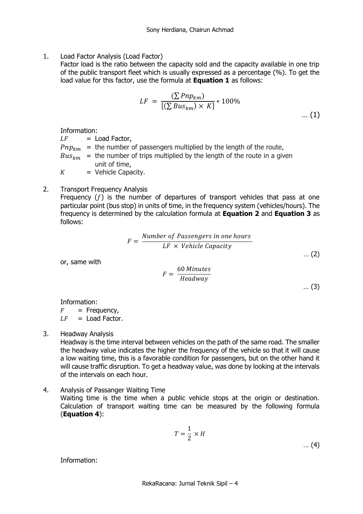1. Load Factor Analysis (Load Factor)

Factor load is the ratio between the capacity sold and the capacity available in one trip of the public transport fleet which is usually expressed as a percentage (%). To get the load value for this factor, use the formula at **Equation 1** as follows:

$$
LF = \frac{\left(\sum Pnp_{km}\right)}{\left[\left(\sum Bus_{km}\right) \times K\right]} * 100\% \quad \dots (1)
$$

Information:

 $LF =$  Load Factor.

 $Pnp_{km}$  = the number of passengers multiplied by the length of the route,

 $Bus_{km}$  = the number of trips multiplied by the length of the route in a given unit of time,

 $K =$  Vehicle Capacity.

2. Transport Frequency Analysis

Frequency  $(f)$  is the number of departures of transport vehicles that pass at one particular point (bus stop) in units of time, in the frequency system (vehicles/hours). The frequency is determined by the calculation formula at **Equation 2** and **Equation 3** as follows:

$$
F = \frac{Number\ of\ Passengers\ in\ one\ hours}{LF \times Vehicle\ Capacity}
$$
 ... (2)

or, same with

$$
F = \frac{60 \text{ Minutes}}{\text{Headway}}
$$

… (3)

Information:

 $F =$  Frequency,  $LF =$  Load Factor.

3. Headway Analysis

Headway is the time interval between vehicles on the path of the same road. The smaller the headway value indicates the higher the frequency of the vehicle so that it will cause a low waiting time, this is a favorable condition for passengers, but on the other hand it will cause traffic disruption. To get a headway value, was done by looking at the intervals of the intervals on each hour.

4. Analysis of Passanger Waiting Time Waiting time is the time when a public vehicle stops at the origin or destination. Calculation of transport waiting time can be measured by the following formula (**Equation 4**):

$$
T = \frac{1}{2} \times H
$$
 ... (4)

Information: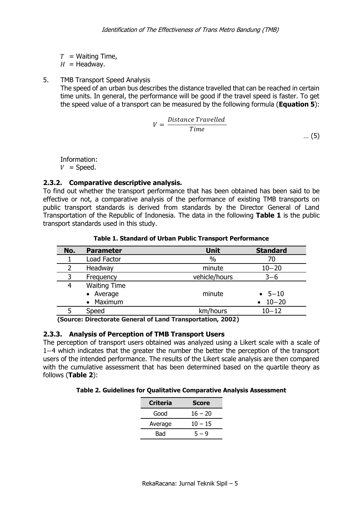$T =$  Waiting Time,

 $H =$  Headway.

5. TMB Transport Speed Analysis The speed of an urban bus describes the distance travelled that can be reached in certain time units. In general, the performance will be good if the travel speed is faster. To get the speed value of a transport can be measured by the following formula (**Equation 5**):

$$
V = \frac{Distance\ Travelled}{Time}
$$

… (5)

Information:

 $V =$  Speed.

# **2.3.2. Comparative descriptive analysis.**

To find out whether the transport performance that has been obtained has been said to be effective or not, a comparative analysis of the performance of existing TMB transports on public transport standards is derived from standards by the Director General of Land Transportation of the Republic of Indonesia. The data in the following **Table 1** is the public transport standards used in this study.

| No. | <b>Parameter</b>    | <b>Unit</b>                                               | <b>Standard</b>        |
|-----|---------------------|-----------------------------------------------------------|------------------------|
|     | Load Factor         | $\%$                                                      | 70                     |
|     | Headway             | minute                                                    | $10 - 20$              |
| 3   | Frequency           | vehicle/hours                                             | $3 - 6$                |
| 4   | <b>Waiting Time</b> |                                                           |                        |
|     | • Average           | minute                                                    | $-5 - 10$              |
|     | • Maximum           |                                                           | $10 - 20$<br>$\bullet$ |
|     | Speed               | km/hours                                                  | $10 - 12$              |
|     |                     | (Course: Directorate Conoral of Land Transportation 2002) |                        |

 **(Source: Directorate General of Land Transportation, 2002)**

## **2.3.3. Analysis of Perception of TMB Transport Users**

The perception of transport users obtained was analyzed using a Likert scale with a scale of 1−4 which indicates that the greater the number the better the perception of the transport users of the intended performance. The results of the Likert scale analysis are then compared with the cumulative assessment that has been determined based on the quartile theory as follows (**Table 2**):

## **Table 2. Guidelines for Qualitative Comparative Analysis Assessment**

| <b>Criteria</b> | <b>Score</b> |
|-----------------|--------------|
| Good            | $16 - 20$    |
| Average         | $10 - 15$    |
| Bad             | $5 - 9$      |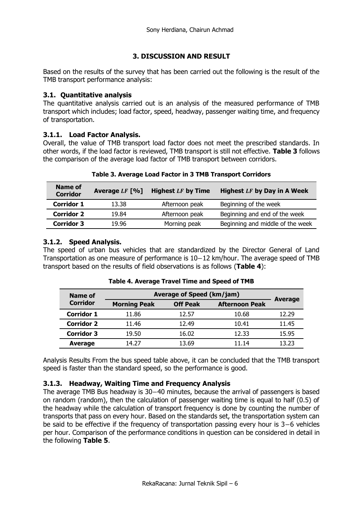## **3. DISCUSSION AND RESULT**

Based on the results of the survey that has been carried out the following is the result of the TMB transport performance analysis:

## **3.1. Quantitative analysis**

The quantitative analysis carried out is an analysis of the measured performance of TMB transport which includes; load factor, speed, headway, passenger waiting time, and frequency of transportation.

## **3.1.1. Load Factor Analysis.**

Overall, the value of TMB transport load factor does not meet the prescribed standards. In other words, if the load factor is reviewed, TMB transport is still not effective. **Table 3** follows the comparison of the average load factor of TMB transport between corridors.

| Name of<br><b>Corridor</b> | Average LF [%] | <b>Highest LF by Time</b> | Highest LF by Day in A Week      |
|----------------------------|----------------|---------------------------|----------------------------------|
| <b>Corridor 1</b>          | 13.38          | Afternoon peak            | Beginning of the week            |
| <b>Corridor 2</b>          | 19.84          | Afternoon peak            | Beginning and end of the week    |
| <b>Corridor 3</b>          | 19.96          | Morning peak              | Beginning and middle of the week |

**Table 3. Average Load Factor in 3 TMB Transport Corridors**

## **3.1.2. Speed Analysis.**

The speed of urban bus vehicles that are standardized by the Director General of Land Transportation as one measure of performance is 10−12 km/hour. The average speed of TMB transport based on the results of field observations is as follows (**Table 4**):

| Name of           | <b>Average of Speed (km/jam)</b> | <b>Average</b>  |                       |       |  |
|-------------------|----------------------------------|-----------------|-----------------------|-------|--|
| <b>Corridor</b>   | <b>Morning Peak</b>              | <b>Off Peak</b> | <b>Afternoon Peak</b> |       |  |
| <b>Corridor 1</b> | 11.86                            | 12.57           | 10.68                 | 12.29 |  |
| <b>Corridor 2</b> | 11.46                            | 12.49           | 10.41                 | 11.45 |  |
| <b>Corridor 3</b> | 19.50                            | 16.02           | 12.33                 | 15.95 |  |
| Average           |                                  | 13.69           | 11.14                 | 13.23 |  |

| Table 4. Average Travel Time and Speed of TMB |  |  |
|-----------------------------------------------|--|--|
|-----------------------------------------------|--|--|

Analysis Results From the bus speed table above, it can be concluded that the TMB transport speed is faster than the standard speed, so the performance is good.

#### **3.1.3. Headway, Waiting Time and Frequency Analysis**

The average TMB Bus headway is 30−40 minutes, because the arrival of passengers is based on random (random), then the calculation of passenger waiting time is equal to half (0.5) of the headway while the calculation of transport frequency is done by counting the number of transports that pass on every hour. Based on the standards set, the transportation system can be said to be effective if the frequency of transportation passing every hour is 3−6 vehicles per hour. Comparison of the performance conditions in question can be considered in detail in the following **Table 5**.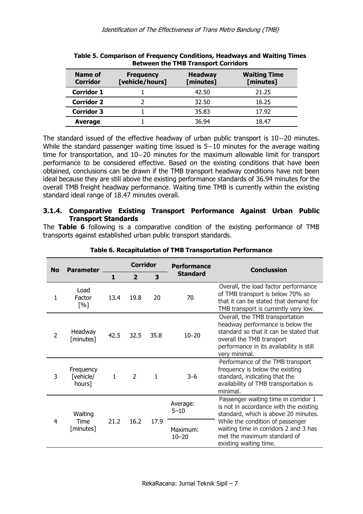| Name of<br><b>Corridor</b> | <b>Frequency</b><br>[vehicle/hours] | <b>Headway</b><br>[minutes] | <b>Waiting Time</b><br>[minutes] |
|----------------------------|-------------------------------------|-----------------------------|----------------------------------|
| <b>Corridor 1</b>          |                                     | 42.50                       | 21.25                            |
| <b>Corridor 2</b>          |                                     | 32.50                       | 16.25                            |
| <b>Corridor 3</b>          |                                     | 35.83                       | 17.92                            |
| <b>Average</b>             |                                     | 36.94                       | 18.47                            |

**Table 5. Comparison of Frequency Conditions, Headways and Waiting Times Between the TMB Transport Corridors**

The standard issued of the effective headway of urban public transport is 10−20 minutes. While the standard passenger waiting time issued is 5−10 minutes for the average waiting time for transportation, and 10−20 minutes for the maximum allowable limit for transport performance to be considered effective. Based on the existing conditions that have been obtained, conclusions can be drawn if the TMB transport headway conditions have not been ideal because they are still above the existing performance standards of 36.94 minutes for the overall TMB freight headway performance. Waiting time TMB is currently within the existing standard ideal range of 18.47 minutes overall.

## **3.1.4. Comparative Existing Transport Performance Against Urban Public Transport Standards**

The **Table 6** following is a comparative condition of the existing performance of TMB transports against established urban public transport standards.

| <b>No</b>      | <b>Parameter</b>                 |              | <b>Corridor</b> |      | <b>Performance</b>    | <b>Conclussion</b>                                                                                                                                                                                      |  |
|----------------|----------------------------------|--------------|-----------------|------|-----------------------|---------------------------------------------------------------------------------------------------------------------------------------------------------------------------------------------------------|--|
|                |                                  | 1            | $\overline{2}$  | 3    | <b>Standard</b>       |                                                                                                                                                                                                         |  |
| 1              | Load<br>Factor<br>[%]            | 13.4         | 19.8            | 20   | 70                    | Overall, the load factor performance<br>of TMB transport is below 70% so<br>that it can be stated that demand for<br>TMB transport is currently very low.                                               |  |
| $\overline{2}$ | Headway<br>[minutes]             | 42.5         | 32.5            | 35.8 | $10 - 20$             | Overall, the TMB transportation<br>headway performance is below the<br>standard so that it can be stated that<br>overall the TMB transport<br>performance in its availability is still<br>very minimal. |  |
| 3              | Frequency<br>[vehicle/<br>hours] | $\mathbf{1}$ | 2               | 1    | $3-6$                 | Performance of the TMB transport<br>frequency is below the existing<br>standard, indicating that the<br>availability of TMB transportation is<br>minimal.                                               |  |
|                | Waiting                          |              |                 |      | Average:<br>$5 - 10$  | Passenger waiting time in corridor 1<br>is not in accordance with the existing<br>standard, which is above 20 minutes.                                                                                  |  |
| $\overline{4}$ | <b>Time</b><br>[minutes]         | 21.2         | 16.2            | 17.9 | Maximum:<br>$10 - 20$ | While the condition of passenger<br>waiting time in corridors 2 and 3 has<br>met the maximum standard of<br>existing waiting time.                                                                      |  |

**Table 6. Recapitulation of TMB Transportation Performance**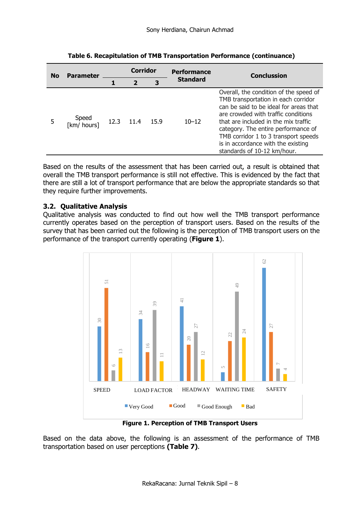| <b>No</b> | <b>Parameter</b>     |      | <b>Corridor</b> |      | <b>Performance</b> | <b>Conclussion</b>                                                                                                                                                                                                                                                                                                                                         |  |
|-----------|----------------------|------|-----------------|------|--------------------|------------------------------------------------------------------------------------------------------------------------------------------------------------------------------------------------------------------------------------------------------------------------------------------------------------------------------------------------------------|--|
|           |                      |      | $\overline{2}$  |      | <b>Standard</b>    |                                                                                                                                                                                                                                                                                                                                                            |  |
| Ь         | Speed<br>[km/ hours] | 12.3 | 11.4            | 15.9 | $10 - 12$          | Overall, the condition of the speed of<br>TMB transportation in each corridor<br>can be said to be ideal for areas that<br>are crowded with traffic conditions<br>that are included in the mix traffic<br>category. The entire performance of<br>TMB corridor 1 to 3 transport speeds<br>is in accordance with the existing<br>standards of 10-12 km/hour. |  |

| Table 6. Recapitulation of TMB Transportation Performance (continuance) |  |  |  |
|-------------------------------------------------------------------------|--|--|--|
|-------------------------------------------------------------------------|--|--|--|

Based on the results of the assessment that has been carried out, a result is obtained that overall the TMB transport performance is still not effective. This is evidenced by the fact that there are still a lot of transport performance that are below the appropriate standards so that they require further improvements.

## **3.2. Qualitative Analysis**

Qualitative analysis was conducted to find out how well the TMB transport performance currently operates based on the perception of transport users. Based on the results of the survey that has been carried out the following is the perception of TMB transport users on the performance of the transport currently operating (**Figure 1**).



**Figure 1. Perception of TMB Transport Users** 

Based on the data above, the following is an assessment of the performance of TMB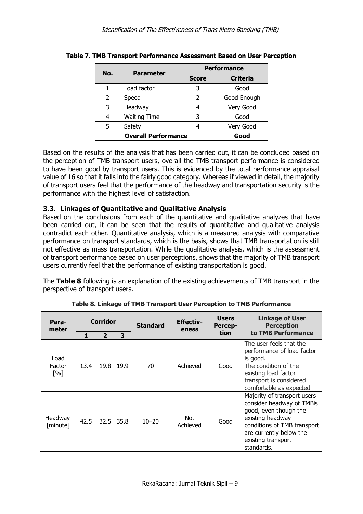| No. | <b>Parameter</b>           | <b>Performance</b> |                 |  |
|-----|----------------------------|--------------------|-----------------|--|
|     |                            | <b>Score</b>       | <b>Criteria</b> |  |
|     | Load factor                | 3                  | Good            |  |
|     | Speed                      |                    | Good Enough     |  |
| 3   | Headway                    |                    | Very Good       |  |
|     | <b>Waiting Time</b>        |                    | Good            |  |
|     | Safety                     |                    | Very Good       |  |
|     | <b>Overall Performance</b> |                    | Good            |  |

#### **Table 7. TMB Transport Performance Assessment Based on User Perception**

Based on the results of the analysis that has been carried out, it can be concluded based on the perception of TMB transport users, overall the TMB transport performance is considered to have been good by transport users. This is evidenced by the total performance appraisal value of 16 so that it falls into the fairly good category. Whereas if viewed in detail, the majority of transport users feel that the performance of the headway and transportation security is the performance with the highest level of satisfaction.

## **3.3. Linkages of Quantitative and Qualitative Analysis**

Based on the conclusions from each of the quantitative and qualitative analyzes that have been carried out, it can be seen that the results of quantitative and qualitative analysis contradict each other. Quantitative analysis, which is a measured analysis with comparative performance on transport standards, which is the basis, shows that TMB transportation is still not effective as mass transportation. While the qualitative analysis, which is the assessment of transport performance based on user perceptions, shows that the majority of TMB transport users currently feel that the performance of existing transportation is good.

The **Table 8** following is an explanation of the existing achievements of TMB transport in the perspective of transport users.

| Para-<br>meter                       |      | <b>Corridor</b><br>$\overline{2}$ | 3         | <b>Standard</b> | <b>Effectiv-</b><br>eness | <b>Users</b><br><b>Percep-</b><br>tion | <b>Linkage of User</b><br><b>Perception</b><br>to TMB Performance                                                                                                                                   |
|--------------------------------------|------|-----------------------------------|-----------|-----------------|---------------------------|----------------------------------------|-----------------------------------------------------------------------------------------------------------------------------------------------------------------------------------------------------|
| Load<br>Factor<br>$\lceil 96 \rceil$ | 13.4 |                                   | 19.8 19.9 | 70              | Achieved                  | Good                                   | The user feels that the<br>performance of load factor<br>is good.<br>The condition of the<br>existing load factor<br>transport is considered<br>comfortable as expected                             |
| Headway<br>[minute]                  | 42.5 |                                   | 32.5 35.8 | $10 - 20$       | <b>Not</b><br>Achieved    | Good                                   | Majority of transport users<br>consider headway of TMBis<br>good, even though the<br>existing headway<br>conditions of TMB transport<br>are currently below the<br>existing transport<br>standards. |

**Table 8. Linkage of TMB Transport User Perception to TMB Performance**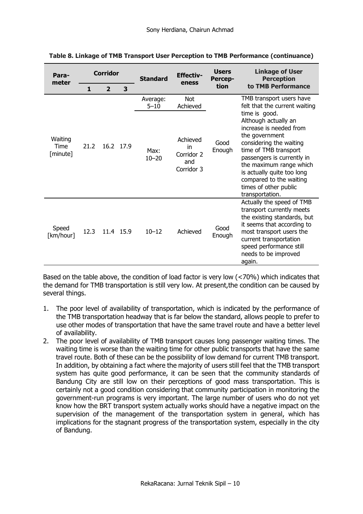| Para-<br>meter              | <b>Corridor</b> |                |           | <b>Standard</b>      | <b>Effectiv-</b><br>eness                         | <b>Users</b><br>Percep- | <b>Linkage of User</b><br><b>Perception</b>                                                                                                                                                                                                                                                                                                                       |  |
|-----------------------------|-----------------|----------------|-----------|----------------------|---------------------------------------------------|-------------------------|-------------------------------------------------------------------------------------------------------------------------------------------------------------------------------------------------------------------------------------------------------------------------------------------------------------------------------------------------------------------|--|
|                             | 1               | $\overline{2}$ | 3         |                      |                                                   | tion                    | to TMB Performance                                                                                                                                                                                                                                                                                                                                                |  |
|                             |                 |                | 16.2 17.9 | Average:<br>$5 - 10$ | <b>Not</b><br>Achieved                            |                         | TMB transport users have<br>felt that the current waiting<br>time is good.<br>Although actually an<br>increase is needed from<br>the government<br>considering the waiting<br>time of TMB transport<br>passengers is currently in<br>the maximum range which<br>is actually quite too long<br>compared to the waiting<br>times of other public<br>transportation. |  |
| Waiting<br>Time<br>[minute] | 21.2            |                |           | Max:<br>$10 - 20$    | Achieved<br>in<br>Corridor 2<br>and<br>Corridor 3 | Good<br>Enough          |                                                                                                                                                                                                                                                                                                                                                                   |  |
| Speed<br>[km/hour]          | 12.3            |                | 11.4 15.9 | $10 - 12$            | Achieved                                          | Good<br>Enough          | Actually the speed of TMB<br>transport currently meets<br>the existing standards, but<br>it seems that according to<br>most transport users the<br>current transportation<br>speed performance still<br>needs to be improved<br>again.                                                                                                                            |  |

|  | Table 8. Linkage of TMB Transport User Perception to TMB Performance (continuance) |  |  |  |
|--|------------------------------------------------------------------------------------|--|--|--|
|--|------------------------------------------------------------------------------------|--|--|--|

Based on the table above, the condition of load factor is very low (<70%) which indicates that the demand for TMB transportation is still very low. At present,the condition can be caused by several things.

- 1. The poor level of availability of transportation, which is indicated by the performance of the TMB transportation headway that is far below the standard, allows people to prefer to use other modes of transportation that have the same travel route and have a better level of availability.
- 2. The poor level of availability of TMB transport causes long passenger waiting times. The waiting time is worse than the waiting time for other public transports that have the same travel route. Both of these can be the possibility of low demand for current TMB transport. In addition, by obtaining a fact where the majority of users still feel that the TMB transport system has quite good performance, it can be seen that the community standards of Bandung City are still low on their perceptions of good mass transportation. This is certainly not a good condition considering that community participation in monitoring the government-run programs is very important. The large number of users who do not yet know how the BRT transport system actually works should have a negative impact on the supervision of the management of the transportation system in general, which has implications for the stagnant progress of the transportation system, especially in the city of Bandung.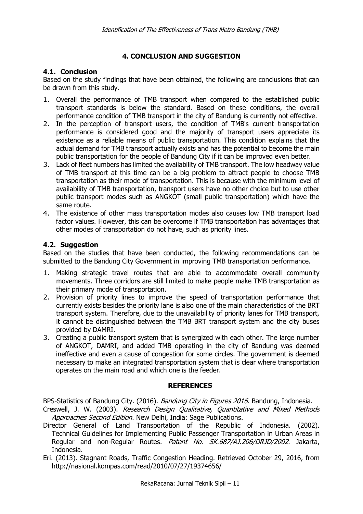## **4. CONCLUSION AND SUGGESTION**

## **4.1. Conclusion**

Based on the study findings that have been obtained, the following are conclusions that can be drawn from this study.

- 1. Overall the performance of TMB transport when compared to the established public transport standards is below the standard. Based on these conditions, the overall performance condition of TMB transport in the city of Bandung is currently not effective.
- 2. In the perception of transport users, the condition of TMB's current transportation performance is considered good and the majority of transport users appreciate its existence as a reliable means of public transportation. This condition explains that the actual demand for TMB transport actually exists and has the potential to become the main public transportation for the people of Bandung City if it can be improved even better.
- 3. Lack of fleet numbers has limited the availability of TMB transport. The low headway value of TMB transport at this time can be a big problem to attract people to choose TMB transportation as their mode of transportation. This is because with the minimum level of availability of TMB transportation, transport users have no other choice but to use other public transport modes such as ANGKOT (small public transportation) which have the same route.
- 4. The existence of other mass transportation modes also causes low TMB transport load factor values. However, this can be overcome if TMB transportation has advantages that other modes of transportation do not have, such as priority lines.

## **4.2. Suggestion**

Based on the studies that have been conducted, the following recommendations can be submitted to the Bandung City Government in improving TMB transportation performance.

- 1. Making strategic travel routes that are able to accommodate overall community movements. Three corridors are still limited to make people make TMB transportation as their primary mode of transportation.
- 2. Provision of priority lines to improve the speed of transportation performance that currently exists besides the priority lane is also one of the main characteristics of the BRT transport system. Therefore, due to the unavailability of priority lanes for TMB transport, it cannot be distinguished between the TMB BRT transport system and the city buses provided by DAMRI.
- 3. Creating a public transport system that is synergized with each other. The large number of ANGKOT, DAMRI, and added TMB operating in the city of Bandung was deemed ineffective and even a cause of congestion for some circles. The government is deemed necessary to make an integrated transportation system that is clear where transportation operates on the main road and which one is the feeder.

#### **REFERENCES**

BPS-Statistics of Bandung City. (2016). Bandung City in Figures 2016. Bandung, Indonesia.

- Creswell, J. W. (2003). Research Design Qualitative, Quantitative and Mixed Methods Approaches Second Edition. New Delhi, India: Sage Publications.
- Director General of Land Transportation of the Republic of Indonesia. (2002). Technical Guidelines for Implementing Public Passenger Transportation in Urban Areas in Regular and non-Regular Routes. Patent No. SK.687/AJ.206/DRJD/2002. Jakarta, Indonesia.
- Eri. (2013). Stagnant Roads, Traffic Congestion Heading. Retrieved October 29, 2016, from http://nasional.kompas.com/read/2010/07/27/19374656/